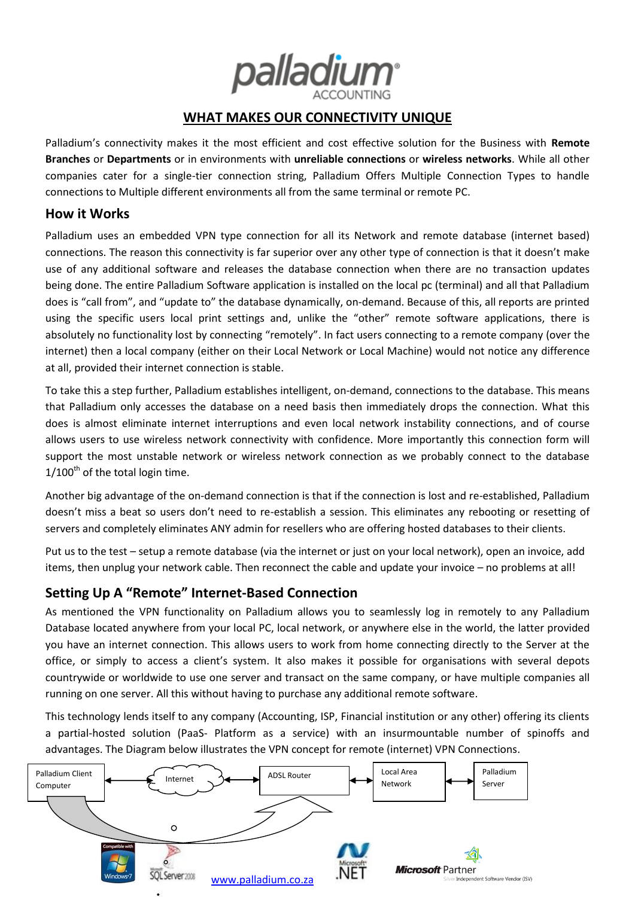

# **WHAT MAKES OUR CONNECTIVITY UNIQUE**

Palladium's connectivity makes it the most efficient and cost effective solution for the Business with **Remote Branches** or **Departments** or in environments with **unreliable connections** or **wireless networks**. While all other companies cater for a single-tier connection string, Palladium Offers Multiple Connection Types to handle connections to Multiple different environments all from the same terminal or remote PC.

### **How it Works**

Palladium uses an embedded VPN type connection for all its Network and remote database (internet based) connections. The reason this connectivity is far superior over any other type of connection is that it doesn't make use of any additional software and releases the database connection when there are no transaction updates being done. The entire Palladium Software application is installed on the local pc (terminal) and all that Palladium does is "call from", and "update to" the database dynamically, on-demand. Because of this, all reports are printed using the specific users local print settings and, unlike the "other" remote software applications, there is absolutely no functionality lost by connecting "remotely". In fact users connecting to a remote company (over the internet) then a local company (either on their Local Network or Local Machine) would not notice any difference at all, provided their internet connection is stable.

To take this a step further, Palladium establishes intelligent, on-demand, connections to the database. This means that Palladium only accesses the database on a need basis then immediately drops the connection. What this does is almost eliminate internet interruptions and even local network instability connections, and of course allows users to use wireless network connectivity with confidence. More importantly this connection form will support the most unstable network or wireless network connection as we probably connect to the database  $1/100$ <sup>th</sup> of the total login time.

Another big advantage of the on-demand connection is that if the connection is lost and re-established, Palladium doesn't miss a beat so users don't need to re-establish a session. This eliminates any rebooting or resetting of servers and completely eliminates ANY admin for resellers who are offering hosted databases to their clients.

Put us to the test – setup a remote database (via the internet or just on your local network), open an invoice, add items, then unplug your network cable. Then reconnect the cable and update your invoice – no problems at all!

# **Setting Up A "Remote" Internet-Based Connection**

As mentioned the VPN functionality on Palladium allows you to seamlessly log in remotely to any Palladium Database located anywhere from your local PC, local network, or anywhere else in the world, the latter provided you have an internet connection. This allows users to work from home connecting directly to the Server at the office, or simply to access a client's system. It also makes it possible for organisations with several depots countrywide or worldwide to use one server and transact on the same company, or have multiple companies all running on one server. All this without having to purchase any additional remote software.

This technology lends itself to any company (Accounting, ISP, Financial institution or any other) offering its clients a partial-hosted solution (PaaS- Platform as a service) with an insurmountable number of spinoffs and advantages. The Diagram below illustrates the VPN concept for remote (internet) VPN Connections.

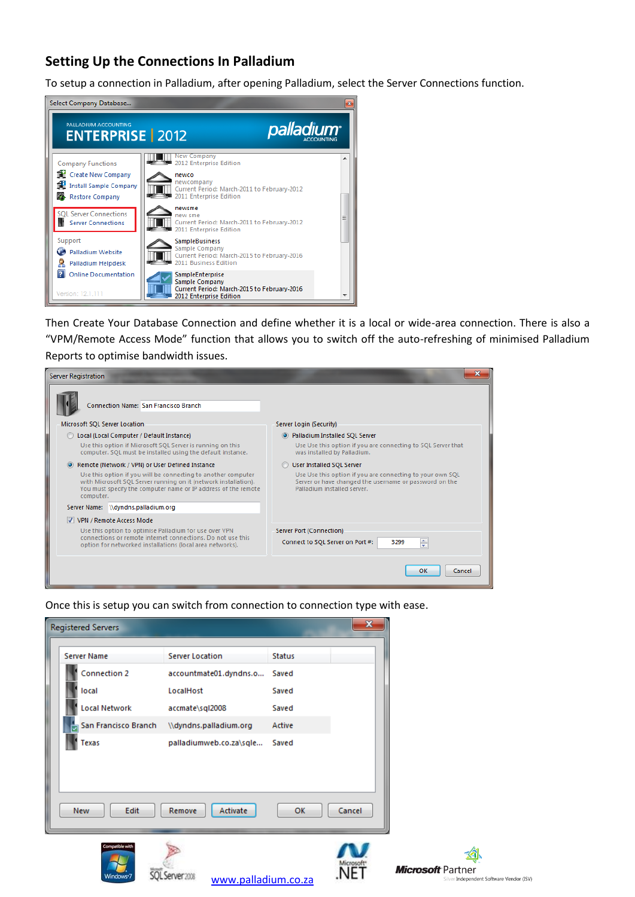# **Setting Up the Connections In Palladium**

To setup a connection in Palladium, after opening Palladium, select the Server Connections function.



Then Create Your Database Connection and define whether it is a local or wide-area connection. There is also a "VPM/Remote Access Mode" function that allows you to switch off the auto-refreshing of minimised Palladium Reports to optimise bandwidth issues.



Once this is setup you can switch from connection to connection type with ease.



QLServer2008 www.palladium.co.za

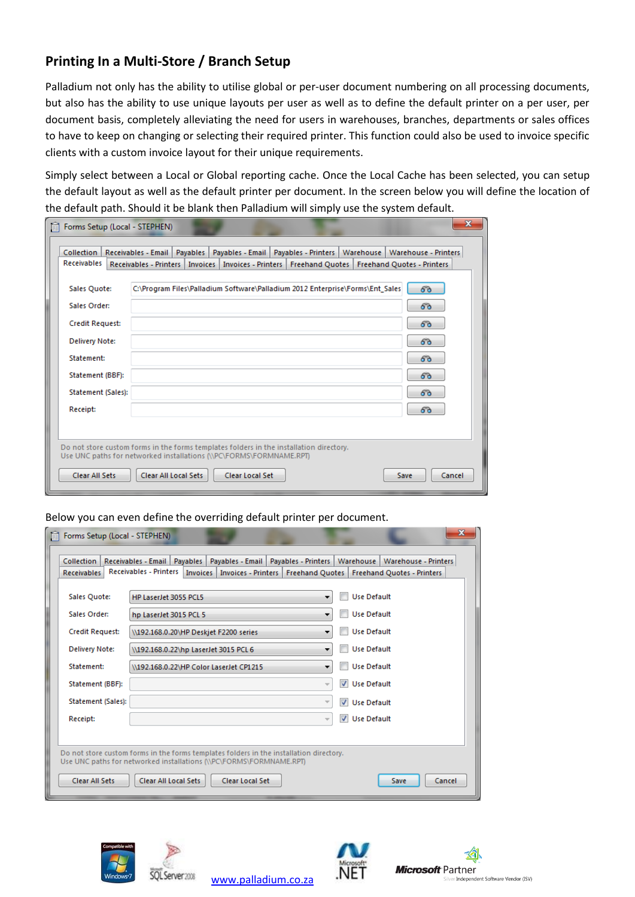# **Printing In a Multi-Store / Branch Setup**

Palladium not only has the ability to utilise global or per-user document numbering on all processing documents, but also has the ability to use unique layouts per user as well as to define the default printer on a per user, per document basis, completely alleviating the need for users in warehouses, branches, departments or sales offices to have to keep on changing or selecting their required printer. This function could also be used to invoice specific clients with a custom invoice layout for their unique requirements.

Simply select between a Local or Global reporting cache. Once the Local Cache has been selected, you can setup the default layout as well as the default printer per document. In the screen below you will define the location of the default path. Should it be blank then Palladium will simply use the system default.

| <b>Receivables</b>                                                                      |  |                                                                               | Collection   Receivables - Email   Payables   Payables - Email   Payables - Printers   Warehouse   Warehouse - Printers  <br><b>Freehand Quotes - Printers</b> |
|-----------------------------------------------------------------------------------------|--|-------------------------------------------------------------------------------|----------------------------------------------------------------------------------------------------------------------------------------------------------------|
|                                                                                         |  | Receivables - Printers   Invoices   Invoices - Printers   Freehand Quotes     |                                                                                                                                                                |
| Sales Quote:                                                                            |  | C:\Program Files\Palladium Software\Palladium 2012 Enterprise\Forms\Ent Sales | 60                                                                                                                                                             |
| Sales Order:                                                                            |  |                                                                               | 60                                                                                                                                                             |
| <b>Credit Request:</b>                                                                  |  |                                                                               | 66                                                                                                                                                             |
| <b>Delivery Note:</b>                                                                   |  |                                                                               | 60                                                                                                                                                             |
| Statement:                                                                              |  |                                                                               | 66                                                                                                                                                             |
| Statement (BBF):                                                                        |  |                                                                               | 60                                                                                                                                                             |
| Statement (Sales):                                                                      |  |                                                                               | 60                                                                                                                                                             |
| Receipt:                                                                                |  |                                                                               | 60                                                                                                                                                             |
|                                                                                         |  |                                                                               |                                                                                                                                                                |
| Do not store custom forms in the forms templates folders in the installation directory. |  |                                                                               |                                                                                                                                                                |
| Use UNC paths for networked installations (\\PC\FORMS\FORMNAME.RPT)                     |  |                                                                               |                                                                                                                                                                |

#### Below you can even define the overriding default printer per document.

| Collection             | Receivables - Email   Payables  <br>Payables - Email                                    |                                                      | Payables - Printers   Warehouse   Warehouse - Printers |
|------------------------|-----------------------------------------------------------------------------------------|------------------------------------------------------|--------------------------------------------------------|
| <b>Receivables</b>     | <b>Receivables - Printers</b><br>Invoices   Invoices - Printers   Freehand Quotes       |                                                      | <b>Freehand Quotes - Printers</b>                      |
| Sales Quote:           | HP LaserJet 3055 PCL5                                                                   | $\overline{\phantom{a}}$                             | <b>Use Default</b>                                     |
| Sales Order:           | hp LaserJet 3015 PCL 5                                                                  | ۰.                                                   | <b>Use Default</b>                                     |
| <b>Credit Request:</b> | \\192.168.0.20\HP Deskjet F2200 series                                                  | ۰                                                    | <b>Use Default</b>                                     |
| <b>Delivery Note:</b>  | \\192.168.0.22\hp LaserJet 3015 PCL 6                                                   | ۰.                                                   | <b>Use Default</b>                                     |
| Statement:             | \\192.168.0.22\HP Color LaserJet CP1215                                                 | ▼                                                    | <b>Use Default</b>                                     |
| Statement (BBF):       |                                                                                         | $\overline{\phantom{a}}$                             | V Use Default                                          |
| Statement (Sales):     |                                                                                         | $\overline{\mathcal{A}}$<br>$\overline{\phantom{m}}$ | <b>Use Default</b>                                     |
| Receipt:               |                                                                                         | $\overline{\phantom{a}}$                             | V Use Default                                          |
|                        |                                                                                         |                                                      |                                                        |
|                        | Do not store custom forms in the forms templates folders in the installation directory. |                                                      |                                                        |
|                        | Use UNC paths for networked installations (\\PC\FORMS\FORMNAME.RPT)                     |                                                      |                                                        |

www.palladium.co.za